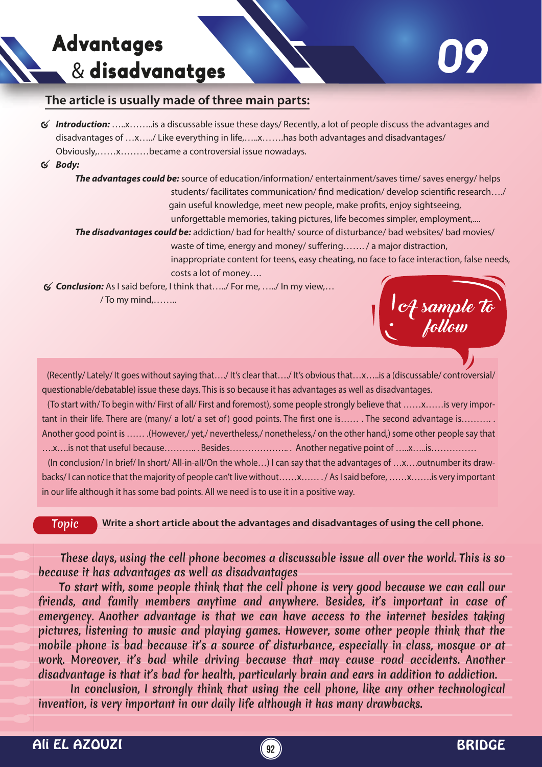## Advantages & disadvanatges

## **The article is usually made of three main parts:**

- *Introduction:* …..x……..is a discussable issue these days/ Recently, a lot of people discuss the advantages and disadvantages of …x…../ Like everything in life,…..x…….has both advantages and disadvantages/ Obviously,……x………became a controversial issue nowadays.
- *Body:*

 *The advantages could be:* source of education/information/ entertainment/saves time/ saves energy/ helps students/ facilitates communication/ find medication/ develop scientific research..../ gain useful knowledge, meet new people, make profits, enjoy sightseeing, unforgettable memories, taking pictures, life becomes simpler, employment,....

 *The disadvantages could be:* addiction/ bad for health/ source of disturbance/ bad websites/ bad movies/ waste of time, energy and money/ suffering......./ a major distraction,

 inappropriate content for teens, easy cheating, no face to face interaction, false needs, costs a lot of money….

*Conclusion:* As I said before, I think that…../ For me, …../ In my view,… / To my mind,……..



 (Recently/ Lately/ It goes without saying that…./ It's clear that…./ It's obvious that…x…..is a (discussable/ controversial/ questionable/debatable) issue these days. This is so because it has advantages as well as disadvantages.

 (To start with/ To begin with/ First of all/ First and foremost), some people strongly believe that ……x……is very important in their life. There are (many/ a lot/ a set of) good points. The first one is……. The second advantage is………. Another good point is …… .(However,/ yet,/ nevertheless,/ nonetheless,/ on the other hand,) some other people say that ….x….is not that useful because……….. . Besides……………….. . Another negative point of …..x…..is……………

 (In conclusion/ In brief/ In short/ All-in-all/On the whole…) I can say that the advantages of …x….outnumber its drawbacks/ I can notice that the majority of people can't live without……x…… . / As I said before, ……x…….is very important in our life although it has some bad points. All we need is to use it in a positive way.

Topic **Write a short article about the advantages and disadvantages of using the cell phone.**

 These days, using the cell phone becomes a discussable issue all over the world. This is so because it has advantages as well as disadvantages

 To start with, some people think that the cell phone is very good because we can call our friends, and family members anytime and anywhere. Besides, it's important in case of emergency. Another advantage is that we can have access to the internet besides taking pictures, listening to music and playing games. However, some other people think that the mobile phone is bad because it's a source of disturbance, especially in class, mosque or at work. Moreover, it's bad while driving because that may cause road accidents. Another disadvantage is that it's bad for health, particularly brain and ears in addition to addiction.

 In conclusion, I strongly think that using the cell phone, like any other technological invention, is very important in our daily life although it has many drawbacks.